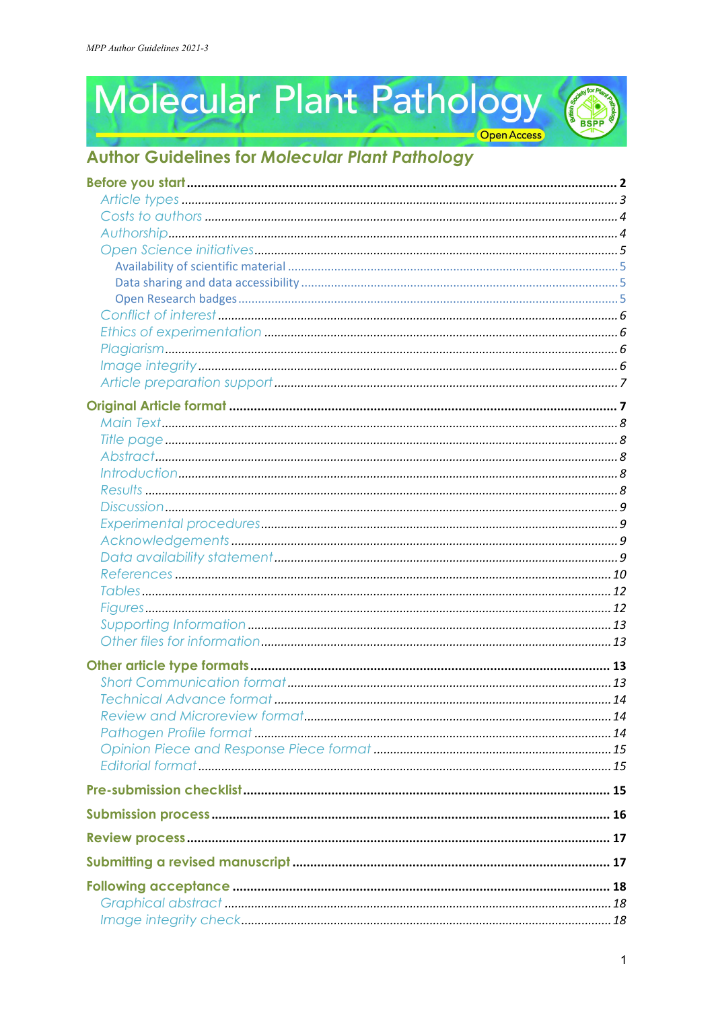Molecular Plant Pathology



# **BSPP**

## **Author Guidelines for Molecular Plant Pathology**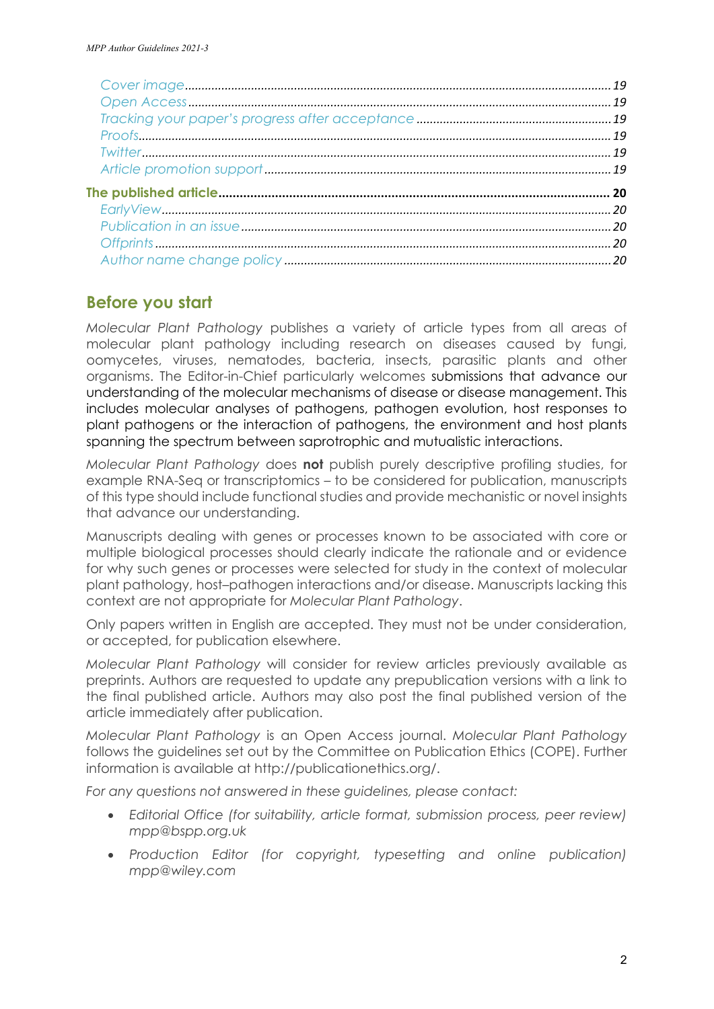## **Before you start**

*Molecular Plant Pathology* publishes a variety of article types from all areas of molecular plant pathology including research on diseases caused by fungi, oomycetes, viruses, nematodes, bacteria, insects, parasitic plants and other organisms. The Editor-in-Chief particularly welcomes submissions that advance our understanding of the molecular mechanisms of disease or disease management. This includes molecular analyses of pathogens, pathogen evolution, host responses to plant pathogens or the interaction of pathogens, the environment and host plants spanning the spectrum between saprotrophic and mutualistic interactions.

*Molecular Plant Pathology* does **not** publish purely descriptive profiling studies, for example RNA-Seq or transcriptomics – to be considered for publication, manuscripts of this type should include functional studies and provide mechanistic or novel insights that advance our understanding.

Manuscripts dealing with genes or processes known to be associated with core or multiple biological processes should clearly indicate the rationale and or evidence for why such genes or processes were selected for study in the context of molecular plant pathology, host–pathogen interactions and/or disease. Manuscripts lacking this context are not appropriate for *Molecular Plant Pathology*.

Only papers written in English are accepted. They must not be under consideration, or accepted, for publication elsewhere.

*Molecular Plant Pathology* will consider for review articles previously available as preprints. Authors are requested to update any prepublication versions with a link to the final published article. Authors may also post the final published version of the article immediately after publication.

*Molecular Plant Pathology* is an Open Access journal. *Molecular Plant Pathology* follows the guidelines set out by the Committee on Publication Ethics (COPE). Further information is available at [http://publicationethics.org/.](http://publicationethics.org/)

*For any questions not answered in these guidelines, please contact:*

- *Editorial Office (for suitability, article format, submission process, peer review) [mpp@bspp.org.uk](mailto:mpp@bspp.org.uk)*
- *Production Editor (for copyright, typesetting and online publication) [mpp@wiley.com](mailto:mpp@wiley.com)*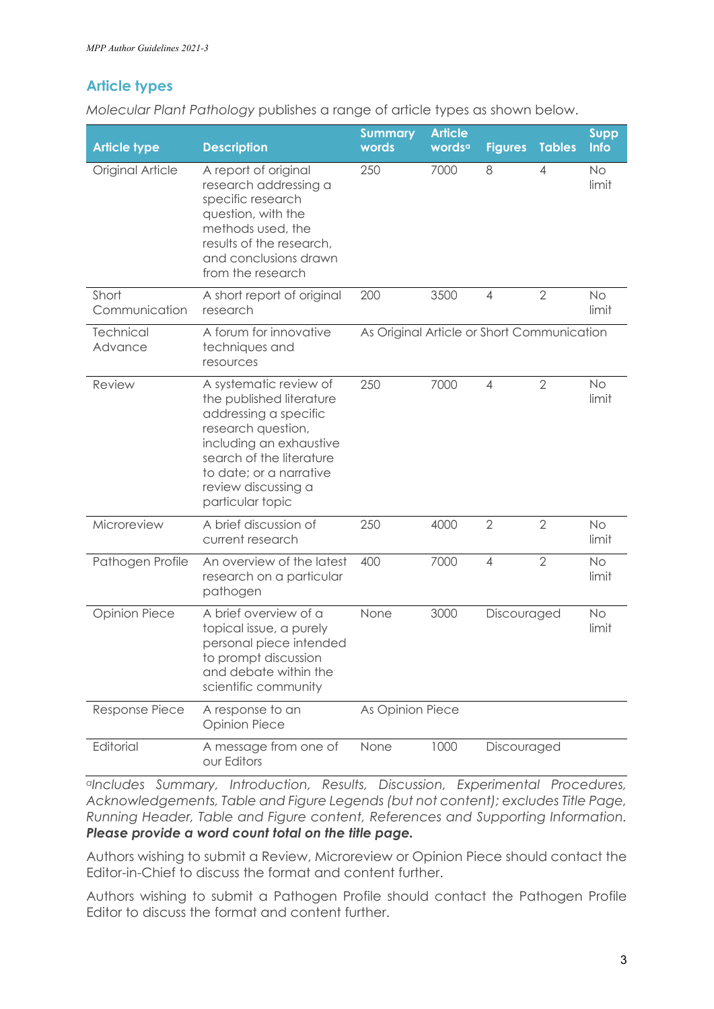## **Article types**

*Molecular Plant Pathology* publishes a range of article types as shown below.

| <b>Article type</b>         | <b>Description</b>                                                                                                                                                                                                             | <b>Summary</b><br>words                    | <b>Article</b><br>words <sup>a</sup> | <b>Figures</b> | <b>Tables</b>  | <b>Supp</b><br>Info |
|-----------------------------|--------------------------------------------------------------------------------------------------------------------------------------------------------------------------------------------------------------------------------|--------------------------------------------|--------------------------------------|----------------|----------------|---------------------|
| Original Article            | A report of original<br>research addressing a<br>specific research<br>question, with the<br>methods used, the<br>results of the research,<br>and conclusions drawn<br>from the research                                        | 250                                        | 7000                                 | 8              | $\overline{4}$ | No<br>limit         |
| Short<br>Communication      | A short report of original<br>research                                                                                                                                                                                         | 200                                        | 3500                                 | $\overline{4}$ | $\overline{2}$ | <b>No</b><br>limit  |
| <b>Technical</b><br>Advance | A forum for innovative<br>techniques and<br>resources                                                                                                                                                                          | As Original Article or Short Communication |                                      |                |                |                     |
| Review                      | A systematic review of<br>the published literature<br>addressing a specific<br>research question,<br>including an exhaustive<br>search of the literature<br>to date; or a narrative<br>review discussing a<br>particular topic | 250                                        | 7000                                 | $\overline{4}$ | $\overline{2}$ | <b>No</b><br>limit  |
| Microreview                 | A brief discussion of<br>current research                                                                                                                                                                                      | 250                                        | 4000                                 | $\overline{2}$ | $\overline{2}$ | No<br>limit         |
| Pathogen Profile            | An overview of the latest<br>research on a particular<br>pathogen                                                                                                                                                              | 400                                        | 7000                                 | 4              | $\overline{2}$ | <b>No</b><br>limit  |
| <b>Opinion Piece</b>        | A brief overview of a<br>topical issue, a purely<br>personal piece intended<br>to prompt discussion<br>and debate within the<br>scientific community                                                                           | None                                       | 3000                                 | Discouraged    |                | <b>No</b><br>limit  |
| Response Piece              | A response to an<br><b>Opinion Piece</b>                                                                                                                                                                                       | As Opinion Piece                           |                                      |                |                |                     |
| Editorial                   | A message from one of<br>our Editors                                                                                                                                                                                           | None                                       | 1000                                 | Discouraged    |                |                     |

*aIncludes Summary, Introduction, Results, Discussion, Experimental Procedures, Acknowledgements, Table and Figure Legends (but not content); excludes Title Page, Running Header, Table and Figure content, References and Supporting Information. Please provide a word count total on the title page.*

Authors wishing to submit a Review, Microreview or Opinion Piece should contact the Editor-in-Chief to discuss the format and content further.

Authors wishing to submit a Pathogen Profile should contact the Pathogen Profile Editor to discuss the format and content further.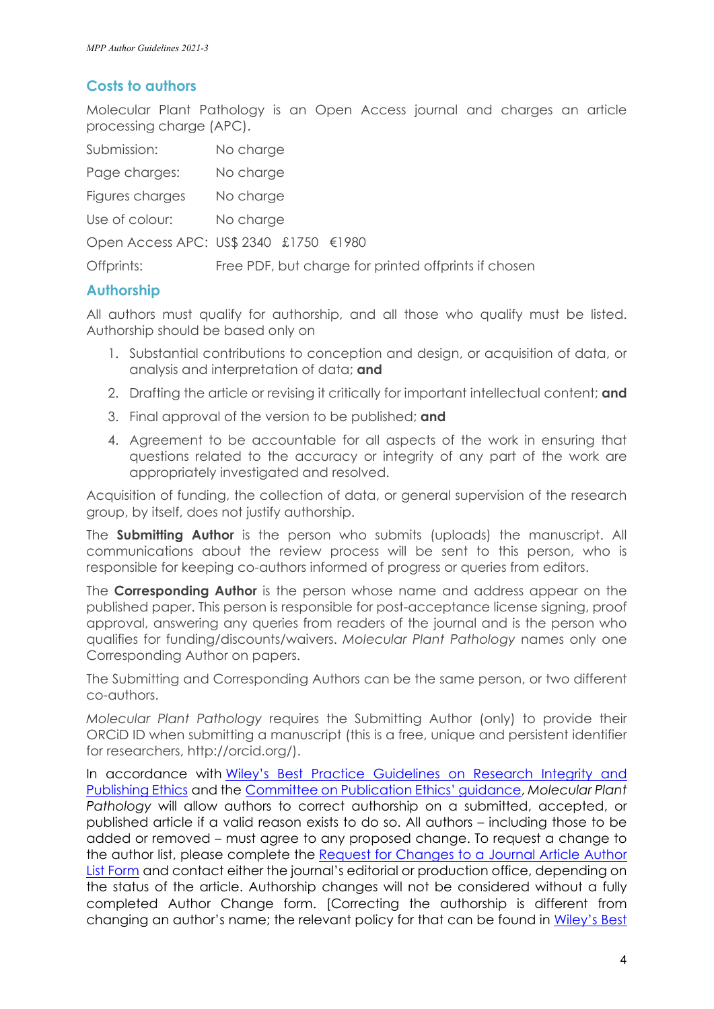#### **Costs to authors**

Molecular Plant Pathology is an Open Access journal and charges an article processing charge (APC).

| Submission:     | No charge                                            |
|-----------------|------------------------------------------------------|
| Page charges:   | No charge                                            |
| Figures charges | No charge                                            |
| Use of colour:  | No charge                                            |
|                 | Open Access APC: US\$ 2340 £1750 €1980               |
| Offprints:      | Free PDF, but charge for printed offprints if chosen |

#### **Authorship**

All authors must qualify for authorship, and all those who qualify must be listed. Authorship should be based only on

- 1. Substantial contributions to conception and design, or acquisition of data, or analysis and interpretation of data; **and**
- 2. Drafting the article or revising it critically for important intellectual content; **and**
- 3. Final approval of the version to be published; **and**
- 4. Agreement to be accountable for all aspects of the work in ensuring that questions related to the accuracy or integrity of any part of the work are appropriately investigated and resolved.

Acquisition of funding, the collection of data, or general supervision of the research group, by itself, does not justify authorship.

The **Submitting Author** is the person who submits (uploads) the manuscript. All communications about the review process will be sent to this person, who is responsible for keeping co-authors informed of progress or queries from editors.

The **Corresponding Author** is the person whose name and address appear on the published paper. This person is responsible for post-acceptance license signing, proof approval, answering any queries from readers of the journal and is the person who qualifies for funding/discounts/waivers. *Molecular Plant Pathology* names only one Corresponding Author on papers.

The Submitting and Corresponding Authors can be the same person, or two different co-authors.

*Molecular Plant Pathology* requires the Submitting Author (only) to provide their ORCiD ID when submitting a manuscript (this is a free, unique and persistent identifier for researchers, [http://orcid.org/\)](http://orcid.org/).

In accordance with [Wiley's Best Practice Guidelines on Research Integrity and](https://authorservices.wiley.com/ethics-guidelines/index.html#5)  [Publishing Ethics](https://authorservices.wiley.com/ethics-guidelines/index.html#5) and the [Committee on Publication Ethics' guidance,](https://publicationethics.org/authorship) *Molecular Plant Pathology* will allow authors to correct authorship on a submitted, accepted, or published article if a valid reason exists to do so. All authors – including those to be added or removed – must agree to any proposed change. To request a change to the author list, please complete the Request for Changes to a Journal Article Author [List Form](https://authorservices.wiley.com/asset/Authorship-change-form_AS.pdf) and contact either the journal's editorial or production office, depending on the status of the article. Authorship changes will not be considered without a fully completed Author Change form. [Correcting the authorship is different from changing an author's name; the relevant policy for that can be found in Wiley's Best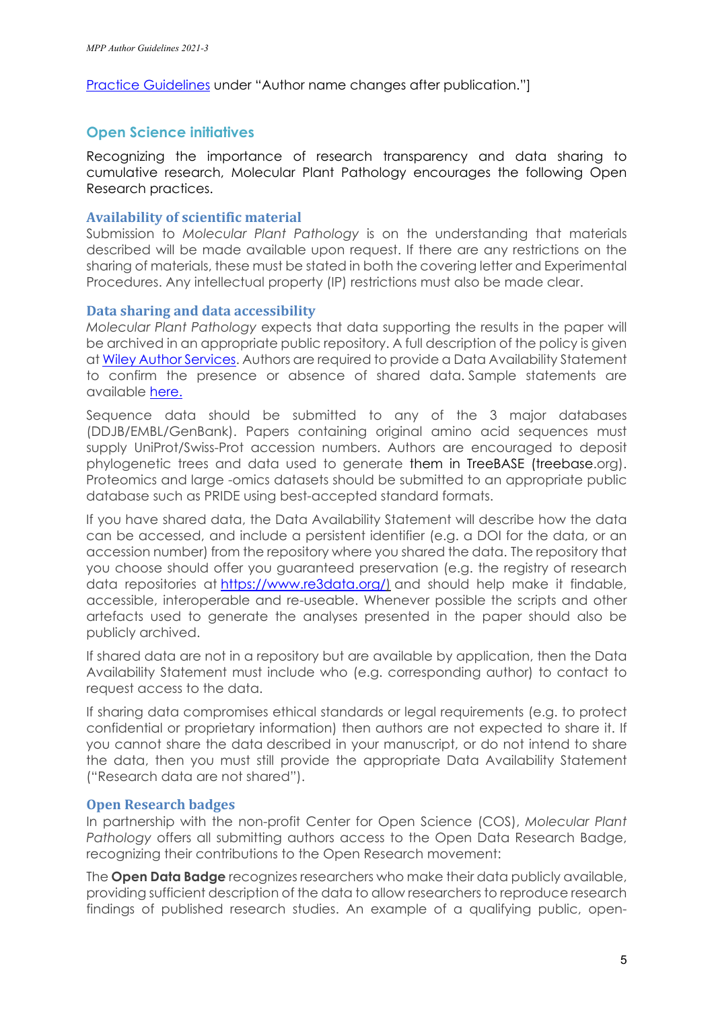[Practice Guidelines](https://authorservices.wiley.com/ethics-guidelines/index.html#5) under "Author name changes after publication."]

#### **Open Science initiatives**

Recognizing the importance of research transparency and data sharing to cumulative research, Molecular Plant Pathology encourages the following Open Research practices.

#### **Availability of scientific material**

Submission to *Molecular Plant Pathology* is on the understanding that materials described will be made available upon request. If there are any restrictions on the sharing of materials, these must be stated in both the covering letter and Experimental Procedures. Any intellectual property (IP) restrictions must also be made clear.

#### **Data sharing and data accessibility**

*Molecular Plant Pathology* expects that data supporting the results in the paper will be archived in an appropriate public repository. A full description of the policy is given a[t Wiley Author Services.](https://authorservices.wiley.com/author-resources/Journal-Authors/open-access/data-sharing-citation/data-sharing-policy.html) Authors are required to provide a Data Availability Statement to confirm the presence or absence of shared data. Sample statements are available [here.](https://authorservices.wiley.com/author-resources/Journal-Authors/open-access/data-sharing-citation/data-sharing-policy.html#standardtemplates)

Sequence data should be submitted to any of the 3 major databases (DDJB/EMBL/GenBank). Papers containing original amino acid sequences must supply UniProt/Swiss-Prot accession numbers. Authors are encouraged to deposit phylogenetic trees and data used to generate them in TreeBASE (treebase.org). Proteomics and large -omics datasets should be submitted to an appropriate public database such as PRIDE using best-accepted standard formats.

If you have shared data, the Data Availability Statement will describe how the data can be accessed, and include a persistent identifier (e.g. a DOI for the data, or an accession number) from the repository where you shared the data. The repository that you choose should offer you guaranteed preservation (e.g. the registry of research data repositories at [https://www.re3data.org/\)](https://www.re3data.org/) and should help make it findable, accessible, interoperable and re-useable. Whenever possible the scripts and other artefacts used to generate the analyses presented in the paper should also be publicly archived.

If shared data are not in a repository but are available by application, then the Data Availability Statement must include who (e.g. corresponding author) to contact to request access to the data.

If sharing data compromises ethical standards or legal requirements (e.g. to protect confidential or proprietary information) then authors are not expected to share it. If you cannot share the data described in your manuscript, or do not intend to share the data, then you must still provide the appropriate Data Availability Statement ("Research data are not shared").

#### **Open Research badges**

In partnership with the non-profit Center for Open Science (COS), *Molecular Plant Pathology* offers all submitting authors access to the Open Data Research Badge, recognizing their contributions to the Open Research movement:

The **Open Data Badge** recognizes researchers who make their data publicly available, providing sufficient description of the data to allow researchers to reproduce research findings of published research studies. An example of a qualifying public, open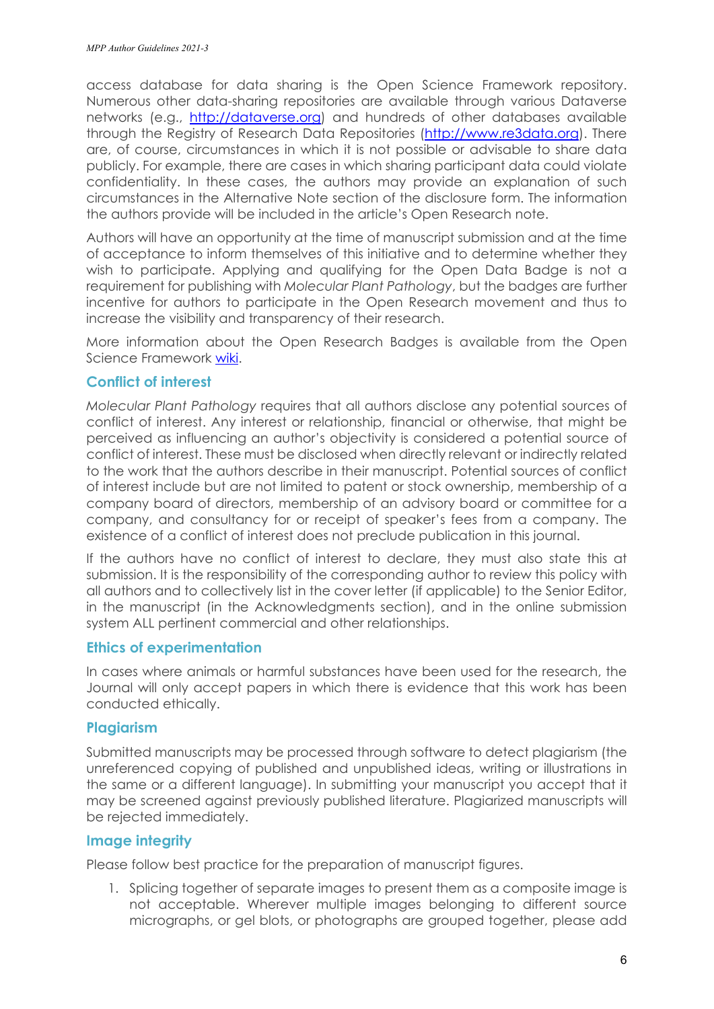access database for data sharing is the Open Science Framework repository. Numerous other data-sharing repositories are available through various Dataverse networks (e.g., [http://dataverse.org\)](http://dataverse.org/) and hundreds of other databases available through the Registry of Research Data Repositories [\(http://www.re3data.org\)](http://www.re3data.org/). There are, of course, circumstances in which it is not possible or advisable to share data publicly. For example, there are cases in which sharing participant data could violate confidentiality. In these cases, the authors may provide an explanation of such circumstances in the Alternative Note section of the disclosure form. The information the authors provide will be included in the article's Open Research note.

Authors will have an opportunity at the time of manuscript submission and at the time of acceptance to inform themselves of this initiative and to determine whether they wish to participate. Applying and qualifying for the Open Data Badge is not a requirement for publishing with *Molecular Plant Pathology*, but the badges are further incentive for authors to participate in the Open Research movement and thus to increase the visibility and transparency of their research.

More information about the Open Research Badges is available from the Open Science Framework [wiki.](https://osf.io/tvyxz/wiki/home/)

#### **Conflict of interest**

*Molecular Plant Pathology* requires that all authors disclose any potential sources of conflict of interest. Any interest or relationship, financial or otherwise, that might be perceived as influencing an author's objectivity is considered a potential source of conflict of interest. These must be disclosed when directly relevant or indirectly related to the work that the authors describe in their manuscript. Potential sources of conflict of interest include but are not limited to patent or stock ownership, membership of a company board of directors, membership of an advisory board or committee for a company, and consultancy for or receipt of speaker's fees from a company. The existence of a conflict of interest does not preclude publication in this journal.

If the authors have no conflict of interest to declare, they must also state this at submission. It is the responsibility of the corresponding author to review this policy with all authors and to collectively list in the cover letter (if applicable) to the Senior Editor, in the manuscript (in the Acknowledgments section), and in the online submission system ALL pertinent commercial and other relationships.

#### **Ethics of experimentation**

In cases where animals or harmful substances have been used for the research, the Journal will only accept papers in which there is evidence that this work has been conducted ethically.

#### **Plagiarism**

Submitted manuscripts may be processed through software to detect plagiarism (the unreferenced copying of published and unpublished ideas, writing or illustrations in the same or a different language). In submitting your manuscript you accept that it may be screened against previously published literature. Plagiarized manuscripts will be rejected immediately.

#### **Image integrity**

Please follow best practice for the preparation of manuscript figures.

1. Splicing together of separate images to present them as a composite image is not acceptable. Wherever multiple images belonging to different source micrographs, or gel blots, or photographs are grouped together, please add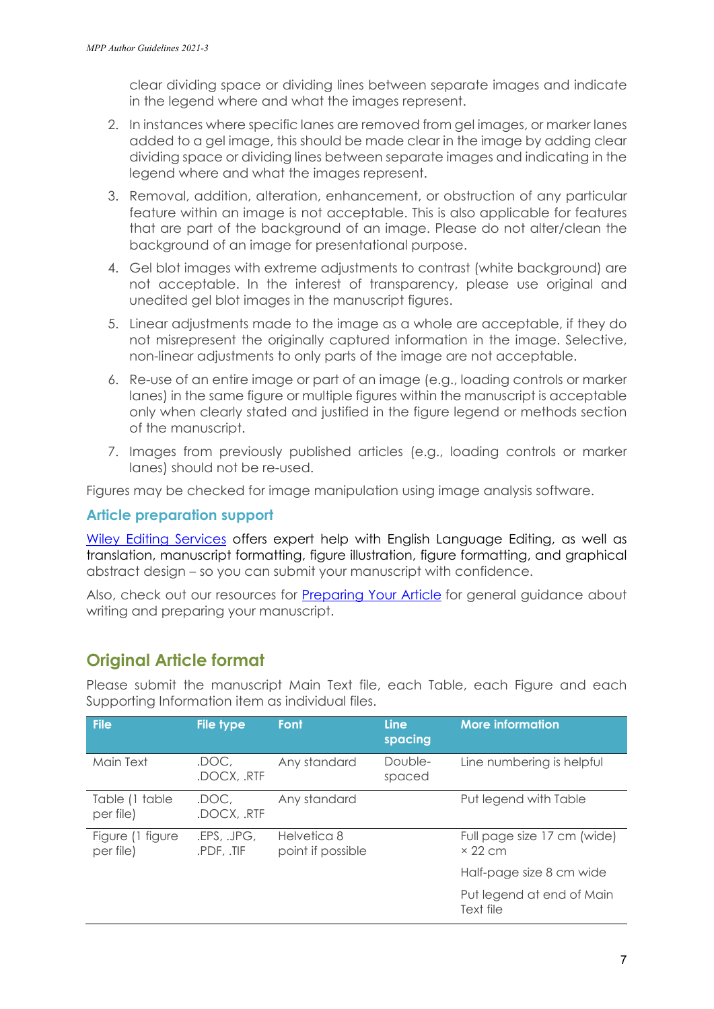clear dividing space or dividing lines between separate images and indicate in the legend where and what the images represent.

- 2. In instances where specific lanes are removed from gel images, or marker lanes added to a gel image, this should be made clear in the image by adding clear dividing space or dividing lines between separate images and indicating in the legend where and what the images represent.
- 3. Removal, addition, alteration, enhancement, or obstruction of any particular feature within an image is not acceptable. This is also applicable for features that are part of the background of an image. Please do not alter/clean the background of an image for presentational purpose.
- 4. Gel blot images with extreme adjustments to contrast (white background) are not acceptable. In the interest of transparency, please use original and unedited gel blot images in the manuscript figures.
- 5. Linear adjustments made to the image as a whole are acceptable, if they do not misrepresent the originally captured information in the image. Selective, non-linear adjustments to only parts of the image are not acceptable.
- 6. Re-use of an entire image or part of an image (e.g., loading controls or marker lanes) in the same figure or multiple figures within the manuscript is acceptable only when clearly stated and justified in the figure legend or methods section of the manuscript.
- 7. Images from previously published articles (e.g., loading controls or marker lanes) should not be re-used.

Figures may be checked for image manipulation using image analysis software.

#### **Article preparation support**

[Wiley Editing Services](https://wileyeditingservices.com/en/) offers expert help with English Language Editing, as well as translation, manuscript formatting, figure illustration, figure formatting, and graphical abstract design – so you can submit your manuscript with confidence.

Also, check out our resources for [Preparing Your Article](https://authorservices.wiley.com/author-resources/Journal-Authors/Prepare/index.html?utm_source=wol&utm_medium=backlink&utm_term=ag&utm_content=prepresources&utm_campaign=prodops) for general guidance about writing and preparing your manuscript.

## **Original Article format**

| <b>File</b>                   | <b>File type</b>          | Font                             | <b>Line</b><br>spacing | <b>More information</b>                       |
|-------------------------------|---------------------------|----------------------------------|------------------------|-----------------------------------------------|
| Main Text                     | .DOC,<br>.DOCX, .RTF      | Any standard                     | Double-<br>spaced      | Line numbering is helpful                     |
| Table (1 table<br>per file)   | .DOC.<br>.DOCX, .RTF      | Any standard                     |                        | Put legend with Table                         |
| Figure (1 figure<br>per file) | .EPS, .JPG,<br>.PDF, .TIF | Helvetica 8<br>point if possible |                        | Full page size 17 cm (wide)<br>$\times$ 22 cm |
|                               |                           |                                  |                        | Half-page size 8 cm wide                      |
|                               |                           |                                  |                        | Put legend at end of Main<br>Text file        |

Please submit the manuscript Main Text file, each Table, each Figure and each Supporting Information item as individual files.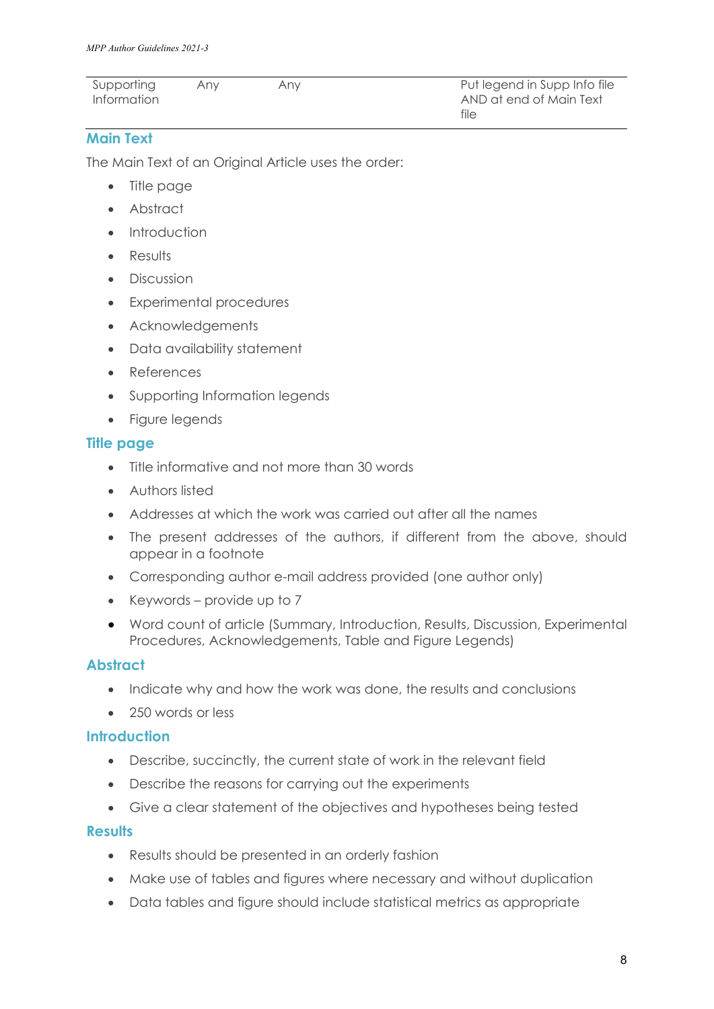| Supporting  | Anv | Anv | Put legend in Supp Info file |
|-------------|-----|-----|------------------------------|
| Information |     |     | AND at end of Main Text      |
|             |     |     | file                         |

#### **Main Text**

The Main Text of an Original Article uses the order:

- Title page
- Abstract
- Introduction
- **Results**
- **Discussion**
- Experimental procedures
- Acknowledgements
- Data availability statement
- References
- Supporting Information legends
- Figure legends

#### **Title page**

- Title informative and not more than 30 words
- Authors listed
- Addresses at which the work was carried out after all the names
- The present addresses of the authors, if different from the above, should appear in a footnote
- Corresponding author e-mail address provided (one author only)
- Keywords provide up to 7
- Word count of article (Summary, Introduction, Results, Discussion, Experimental Procedures, Acknowledgements, Table and Figure Legends)

#### **Abstract**

- Indicate why and how the work was done, the results and conclusions
- 250 words or less

#### **Introduction**

- Describe, succinctly, the current state of work in the relevant field
- Describe the reasons for carrying out the experiments
- Give a clear statement of the objectives and hypotheses being tested

#### **Results**

- Results should be presented in an orderly fashion
- Make use of tables and figures where necessary and without duplication
- Data tables and figure should include statistical metrics as appropriate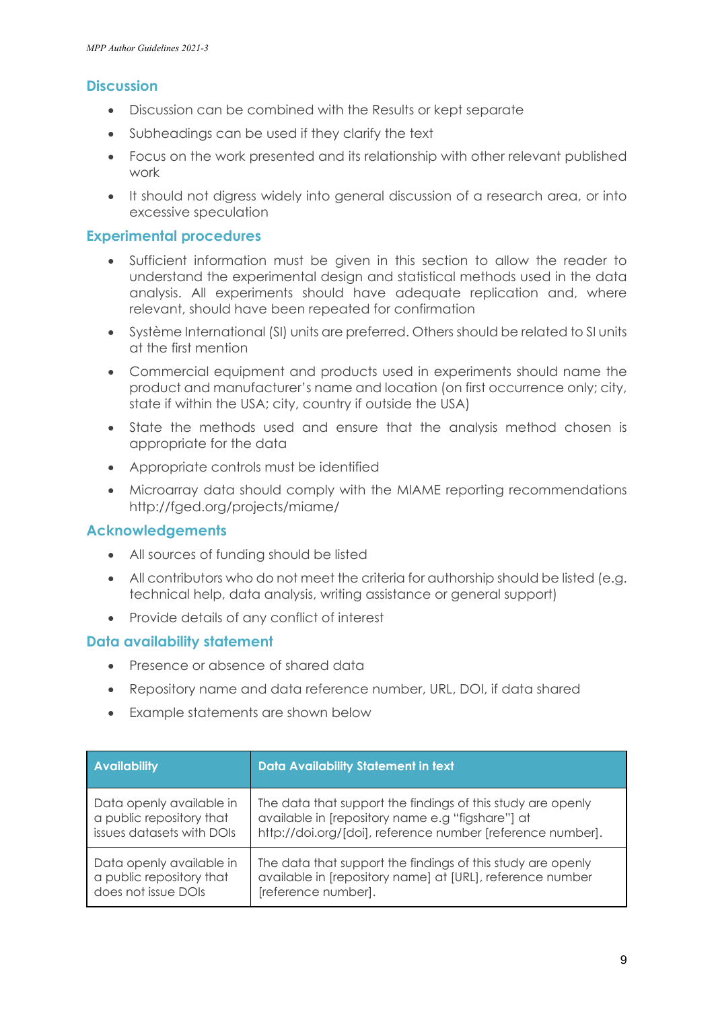#### **Discussion**

- Discussion can be combined with the Results or kept separate
- Subheadings can be used if they clarify the text
- Focus on the work presented and its relationship with other relevant published work
- It should not digress widely into general discussion of a research area, or into excessive speculation

#### **Experimental procedures**

- Sufficient information must be given in this section to allow the reader to understand the experimental design and statistical methods used in the data analysis. All experiments should have adequate replication and, where relevant, should have been repeated for confirmation
- Système International (SI) units are preferred. Others should be related to SI units at the first mention
- Commercial equipment and products used in experiments should name the product and manufacturer's name and location (on first occurrence only; city, state if within the USA; city, country if outside the USA)
- State the methods used and ensure that the analysis method chosen is appropriate for the data
- Appropriate controls must be identified
- Microarray data should comply with the MIAME reporting recommendations http://fged.org/projects/miame/

#### **Acknowledgements**

- All sources of funding should be listed
- All contributors who do not meet the criteria for authorship should be listed (e.g. technical help, data analysis, writing assistance or general support)
- Provide details of any conflict of interest

#### **Data availability statement**

- Presence or absence of shared data
- Repository name and data reference number, URL, DOI, if data shared
- Example statements are shown below

| <b>Availability</b>       | <b>Data Availability Statement in text</b>                  |
|---------------------------|-------------------------------------------------------------|
| Data openly available in  | The data that support the findings of this study are openly |
| a public repository that  | available in [repository name e.g "figshare"] at            |
| issues datasets with DOIs | http://doi.org/[doi], reference number [reference number].  |
| Data openly available in  | The data that support the findings of this study are openly |
| a public repository that  | available in [repository name] at [URL], reference number   |
| does not issue DOIs       | [reference number].                                         |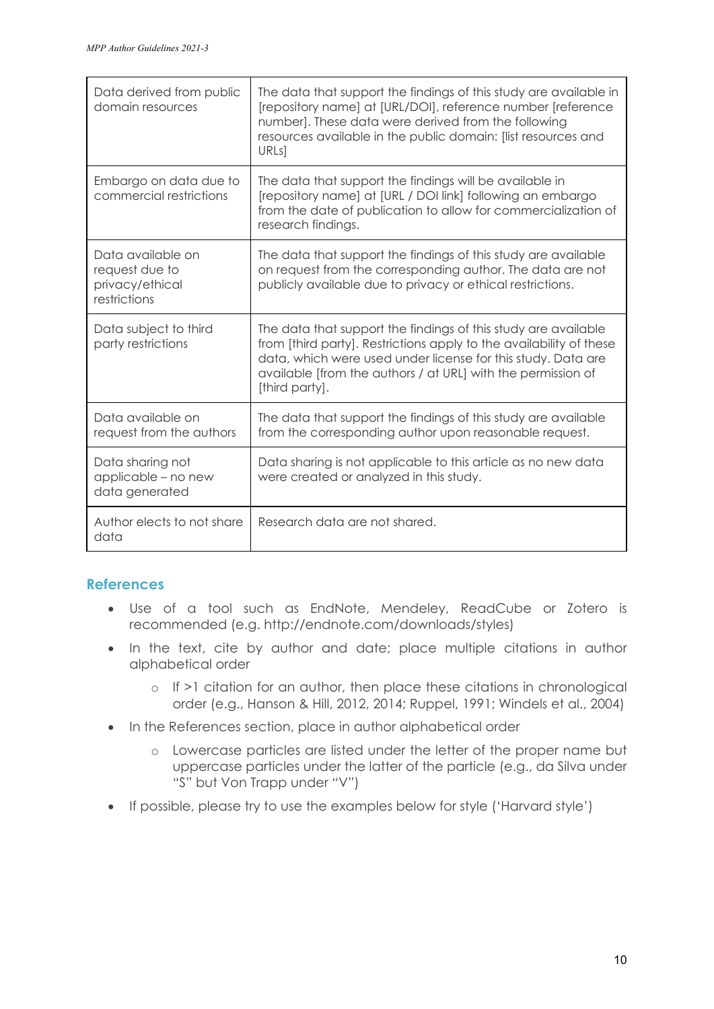| Data derived from public<br>domain resources                           | The data that support the findings of this study are available in<br>[repository name] at [URL/DOI], reference number [reference<br>number]. These data were derived from the following<br>resources available in the public domain: [list resources and<br>URLs1                       |
|------------------------------------------------------------------------|-----------------------------------------------------------------------------------------------------------------------------------------------------------------------------------------------------------------------------------------------------------------------------------------|
| Embargo on data due to<br>commercial restrictions                      | The data that support the findings will be available in<br>[repository name] at [URL / DOI link] following an embargo<br>from the date of publication to allow for commercialization of<br>research findings.                                                                           |
| Data available on<br>request due to<br>privacy/ethical<br>restrictions | The data that support the findings of this study are available<br>on request from the corresponding author. The data are not<br>publicly available due to privacy or ethical restrictions.                                                                                              |
| Data subject to third<br>party restrictions                            | The data that support the findings of this study are available<br>from [third party]. Restrictions apply to the availability of these<br>data, which were used under license for this study. Data are<br>available [from the authors / at URL] with the permission of<br>[third party]. |
| Data available on<br>request from the authors                          | The data that support the findings of this study are available<br>from the corresponding author upon reasonable request.                                                                                                                                                                |
| Data sharing not<br>applicable - no new<br>data generated              | Data sharing is not applicable to this article as no new data<br>were created or analyzed in this study.                                                                                                                                                                                |
| Author elects to not share<br>data                                     | Research data are not shared.                                                                                                                                                                                                                                                           |

#### **References**

- Use of a tool such as [EndNote,](http://endnote.com/) Mendeley, ReadCube or Zotero is recommended (e.g. http://endnote.com/downloads/styles)
- In the text, cite by author and date; place multiple citations in author alphabetical order
	- o If >1 citation for an author, then place these citations in chronological order (e.g., Hanson & Hill, 2012, 2014; Ruppel, 1991; Windels et al., 2004)
- In the References section, place in author alphabetical order
	- o Lowercase particles are listed under the letter of the proper name but uppercase particles under the latter of the particle (e.g., da Silva under "S" but Von Trapp under "V")
- If possible, please try to use the examples below for style ('Harvard style')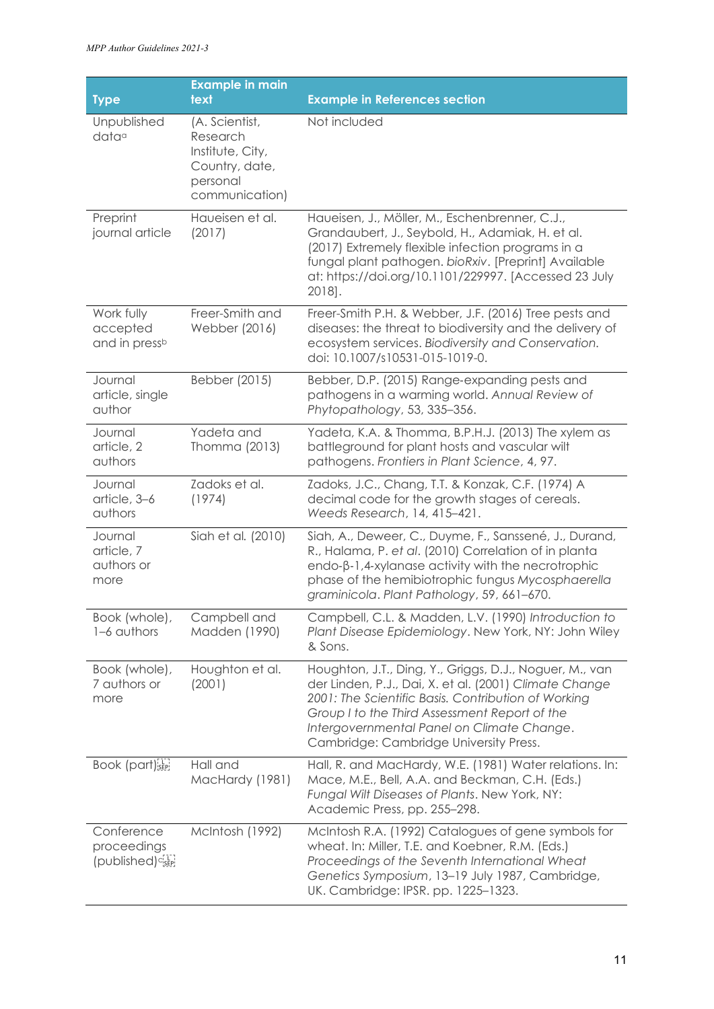|                                                           | <b>Example in main</b>                                                                         |                                                                                                                                                                                                                                                                                                                   |
|-----------------------------------------------------------|------------------------------------------------------------------------------------------------|-------------------------------------------------------------------------------------------------------------------------------------------------------------------------------------------------------------------------------------------------------------------------------------------------------------------|
| <b>Type</b>                                               | text                                                                                           | <b>Example in References section</b>                                                                                                                                                                                                                                                                              |
| Unpublished<br>data <sup>a</sup>                          | (A. Scientist,<br>Research<br>Institute, City,<br>Country, date,<br>personal<br>communication) | Not included                                                                                                                                                                                                                                                                                                      |
| Preprint<br>journal article                               | Haueisen et al.<br>(2017)                                                                      | Haueisen, J., Möller, M., Eschenbrenner, C.J.,<br>Grandaubert, J., Seybold, H., Adamiak, H. et al.<br>(2017) Extremely flexible infection programs in a<br>fungal plant pathogen. bioRxiv. [Preprint] Available<br>at: https://doi.org/10.1101/229997. [Accessed 23 July<br>2018].                                |
| Work fully<br>accepted<br>and in pressb                   | Freer-Smith and<br>Webber (2016)                                                               | Freer-Smith P.H. & Webber, J.F. (2016) Tree pests and<br>diseases: the threat to biodiversity and the delivery of<br>ecosystem services. Biodiversity and Conservation.<br>doi: 10.1007/s10531-015-1019-0.                                                                                                        |
| Journal<br>article, single<br>author                      | Bebber (2015)                                                                                  | Bebber, D.P. (2015) Range-expanding pests and<br>pathogens in a warming world. Annual Review of<br>Phytopathology, 53, 335-356.                                                                                                                                                                                   |
| Journal<br>article, 2<br>authors                          | Yadeta and<br>Thomma (2013)                                                                    | Yadeta, K.A. & Thomma, B.P.H.J. (2013) The xylem as<br>battleground for plant hosts and vascular wilt<br>pathogens. Frontiers in Plant Science, 4, 97.                                                                                                                                                            |
| Journal<br>article, 3-6<br>authors                        | Zadoks et al.<br>(1974)                                                                        | Zadoks, J.C., Chang, T.T. & Konzak, C.F. (1974) A<br>decimal code for the growth stages of cereals.<br>Weeds Research, 14, 415-421.                                                                                                                                                                               |
| Journal<br>article, 7<br>authors or<br>more               | Siah et al. (2010)                                                                             | Siah, A., Deweer, C., Duyme, F., Sanssené, J., Durand,<br>R., Halama, P. et al. (2010) Correlation of in planta<br>endo- $\beta$ -1,4-xylanase activity with the necrotrophic<br>phase of the hemibiotrophic fungus Mycosphaerella<br>graminicola. Plant Pathology, 59, 661-670.                                  |
| Book (whole),<br>1-6 authors                              | Campbell and<br>Madden (1990)                                                                  | Campbell, C.L. & Madden, L.V. (1990) Introduction to<br>Plant Disease Epidemiology. New York, NY: John Wiley<br>& Sons.                                                                                                                                                                                           |
| Book (whole),<br>7 authors or<br>more                     | Houghton et al.<br>(2001)                                                                      | Houghton, J.T., Ding, Y., Griggs, D.J., Noguer, M., van<br>der Linden, P.J., Dai, X. et al. (2001) Climate Change<br>2001: The Scientific Basis. Contribution of Working<br>Group I to the Third Assessment Report of the<br>Intergovernmental Panel on Climate Change.<br>Cambridge: Cambridge University Press. |
| Book (part) <sup>[1]</sup>                                | Hall and<br>MacHardy (1981)                                                                    | Hall, R. and MacHardy, W.E. (1981) Water relations. In:<br>Mace, M.E., Bell, A.A. and Beckman, C.H. (Eds.)<br>Fungal Wilt Diseases of Plants. New York, NY:<br>Academic Press, pp. 255-298.                                                                                                                       |
| Conference<br>proceedings<br>(published) <sup>cisep</sup> | McIntosh (1992)                                                                                | McIntosh R.A. (1992) Catalogues of gene symbols for<br>wheat. In: Miller, T.E. and Koebner, R.M. (Eds.)<br>Proceedings of the Seventh International Wheat<br>Genetics Symposium, 13-19 July 1987, Cambridge,<br>UK. Cambridge: IPSR. pp. 1225-1323.                                                               |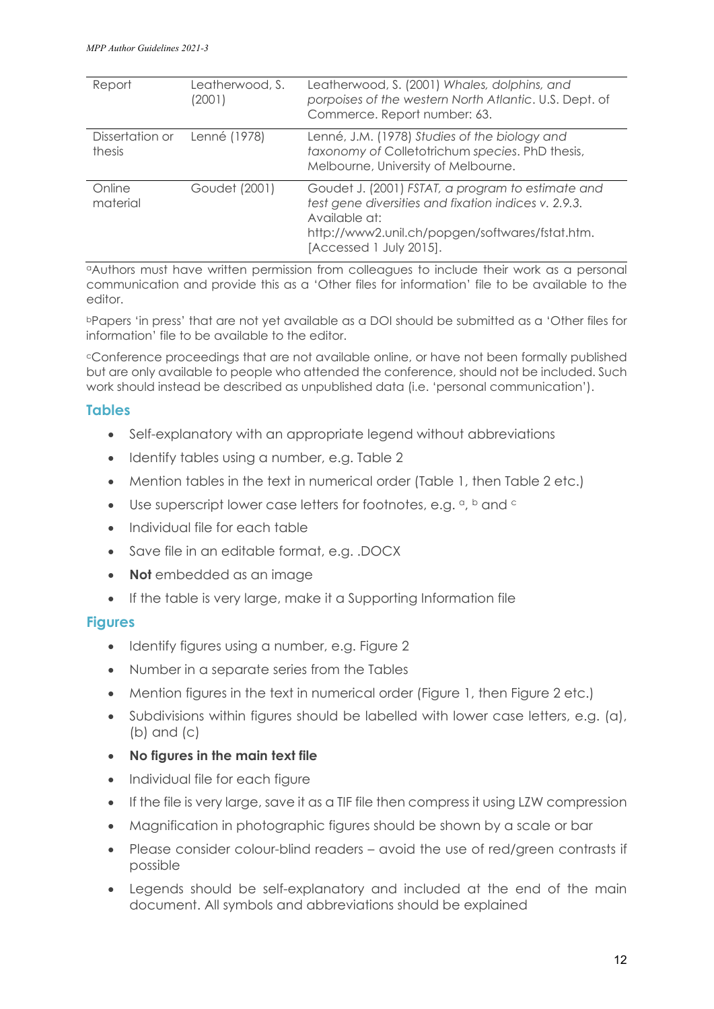| Report                    | Leatherwood, S.<br>(2001) | Leatherwood, S. (2001) Whales, dolphins, and<br>porpoises of the western North Atlantic. U.S. Dept. of<br>Commerce. Report number: 63.                                                                   |
|---------------------------|---------------------------|----------------------------------------------------------------------------------------------------------------------------------------------------------------------------------------------------------|
| Dissertation or<br>thesis | Lenné (1978)              | Lenné, J.M. (1978) Studies of the biology and<br>taxonomy of Colletotrichum species. PhD thesis,<br>Melbourne, University of Melbourne.                                                                  |
| Online<br>material        | Goudet (2001)             | Goudet J. (2001) FSTAT, a program to estimate and<br>test gene diversities and fixation indices v. 2.9.3.<br>Available at:<br>http://www2.unil.ch/popgen/softwares/fstat.htm.<br>[Accessed 1 July 2015]. |

aAuthors must have written permission from colleagues to include their work as a personal communication and provide this as a 'Other files for information' file to be available to the editor.

bPapers 'in press' that are not yet available as a DOI should be submitted as a 'Other files for information' file to be available to the editor.

cConference proceedings that are not available online, or have not been formally published but are only available to people who attended the conference, should not be included. Such work should instead be described as unpublished data (i.e. 'personal communication').

#### **Tables**

- Self-explanatory with an appropriate legend without abbreviations
- Identify tables using a number, e.g. Table 2
- Mention tables in the text in numerical order (Table 1, then Table 2 etc.)
- Use superscript lower case letters for footnotes, e.g.  $a$ ,  $b$  and  $c$
- Individual file for each table
- Save file in an editable format, e.g. .DOCX
- **Not** embedded as an image
- If the table is very large, make it a Supporting Information file

#### **Figures**

- Identify figures using a number, e.g. Figure 2
- Number in a separate series from the Tables
- Mention figures in the text in numerical order (Figure 1, then Figure 2 etc.)
- Subdivisions within figures should be labelled with lower case letters, e.g. (a), (b) and (c)
- **No figures in the main text file**
- Individual file for each figure
- If the file is very large, save it as a TIF file then compress it using LZW compression
- Magnification in photographic figures should be shown by a scale or bar
- Please consider colour-blind readers avoid the use of red/green contrasts if possible
- Legends should be self-explanatory and included at the end of the main document. All symbols and abbreviations should be explained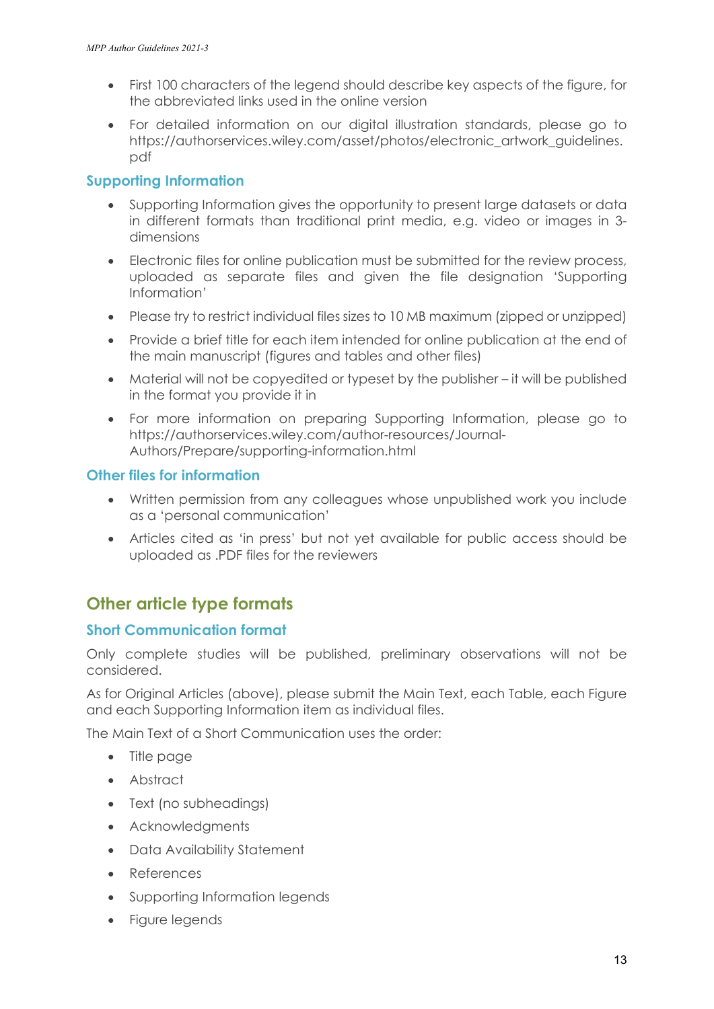- First 100 characters of the legend should describe key aspects of the figure, for the abbreviated links used in the online version
- For detailed information on our digital illustration standards, please go to [https://authorservices.wiley.com/asset/photos/electronic\\_artwork\\_guidelines.](https://authorservices.wiley.com/asset/photos/electronic_artwork_guidelines.pdf) [pdf](https://authorservices.wiley.com/asset/photos/electronic_artwork_guidelines.pdf)

#### **Supporting Information**

- Supporting Information gives the opportunity to present large datasets or data in different formats than traditional print media, e.g. video or images in 3 dimensions
- Electronic files for online publication must be submitted for the review process, uploaded as separate files and given the file designation 'Supporting Information'
- Please try to restrict individual files sizes to 10 MB maximum (zipped or unzipped)
- Provide a brief title for each item intended for online publication at the end of the main manuscript (figures and tables and other files)
- Material will not be copyedited or typeset by the publisher it will be published in the format you provide it in
- For more information on preparing Supporting Information, please go to https://authorservices.wiley.com/author-resources/Journal-Authors/Prepare/supporting-information.html

#### **Other files for information**

- Written permission from any colleagues whose unpublished work you include as a 'personal communication'
- Articles cited as 'in press' but not yet available for public access should be uploaded as .PDF files for the reviewers

## **Other article type formats**

#### **Short Communication format**

Only complete studies will be published, preliminary observations will not be considered.

As for Original Articles (above), please submit the Main Text, each Table, each Figure and each Supporting Information item as individual files.

The Main Text of a Short Communication uses the order:

- Title page
- Abstract
- Text (no subheadings)
- Acknowledgments
- Data Availability Statement
- References
- Supporting Information legends
- Figure legends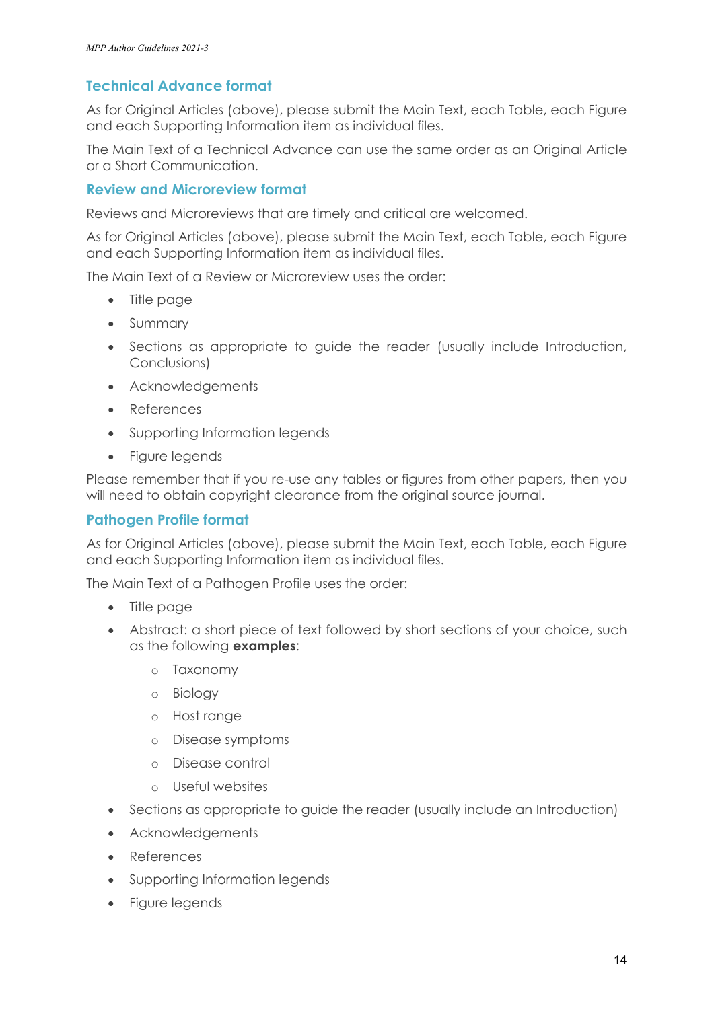### **Technical Advance format**

As for Original Articles (above), please submit the Main Text, each Table, each Figure and each Supporting Information item as individual files.

The Main Text of a Technical Advance can use the same order as an Original Article or a Short Communication.

#### **Review and Microreview format**

Reviews and Microreviews that are timely and critical are welcomed.

As for Original Articles (above), please submit the Main Text, each Table, each Figure and each Supporting Information item as individual files.

The Main Text of a Review or Microreview uses the order:

- Title page
- Summary
- Sections as appropriate to guide the reader (usually include Introduction, Conclusions)
- Acknowledgements
- References
- Supporting Information legends
- Figure legends

Please remember that if you re-use any tables or figures from other papers, then you will need to obtain copyright clearance from the original source journal.

#### **Pathogen Profile format**

As for Original Articles (above), please submit the Main Text, each Table, each Figure and each Supporting Information item as individual files.

The Main Text of a Pathogen Profile uses the order:

- Title page
- Abstract: a short piece of text followed by short sections of your choice, such as the following **examples**:
	- o Taxonomy
	- o Biology
	- o Host range
	- o Disease symptoms
	- o Disease control
	- o Useful websites
- Sections as appropriate to quide the reader (usually include an Introduction)
- Acknowledgements
- References
- Supporting Information legends
- Figure legends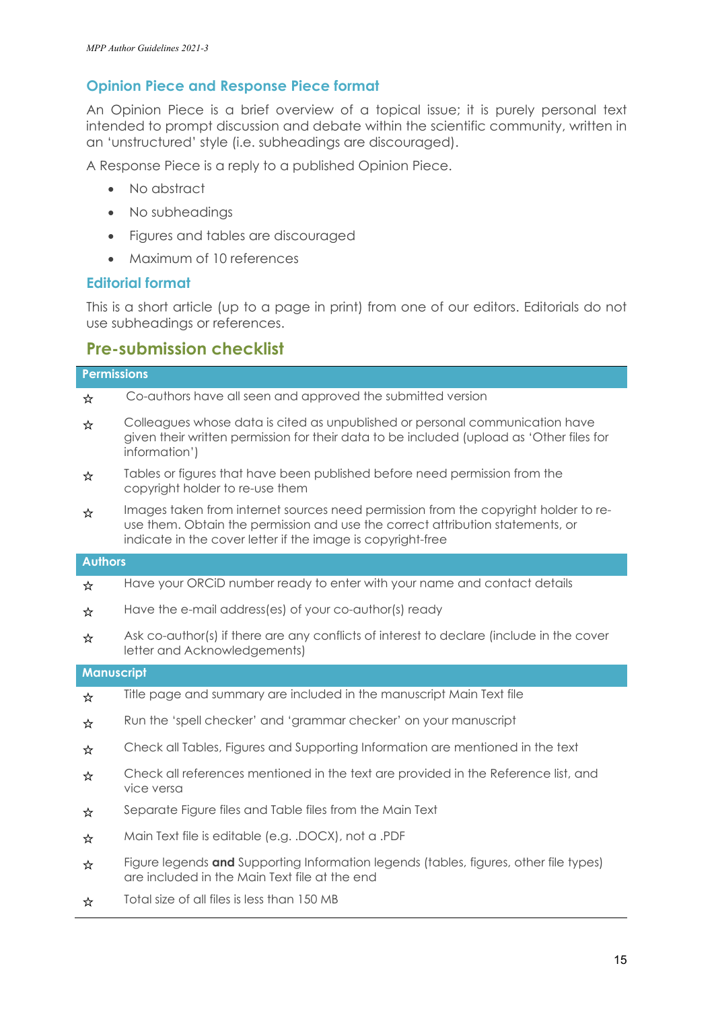#### **Opinion Piece and Response Piece format**

An Opinion Piece is a brief overview of a topical issue; it is purely personal text intended to prompt discussion and debate within the scientific community, written in an 'unstructured' style (i.e. subheadings are discouraged).

A Response Piece is a reply to a published Opinion Piece.

- No abstract
- No subheadings
- Figures and tables are discouraged
- Maximum of 10 references

#### **Editorial format**

This is a short article (up to a page in print) from one of our editors. Editorials do not use subheadings or references.

#### **Pre-submission checklist**

## **Permissions** ☆ Co-authors have all seen and approved the submitted version  $\frac{1}{\alpha}$  Colleagues whose data is cited as unpublished or personal communication have given their written permission for their data to be included (upload as 'Other files for information')  $\frac{1}{\alpha}$  Tables or figures that have been published before need permission from the copyright holder to re-use them  $\frac{1}{\alpha}$  Images taken from internet sources need permission from the copyright holder to reuse them. Obtain the permission and use the correct attribution statements, or indicate in the cover letter if the image is copyright-free **Authors** ☆ Have your ORCiD number ready to enter with your name and contact details ☆ Have the e-mail address(es) of your co-author(s) ready ☆ Ask co-author(s) if there are any conflicts of interest to declare (include in the cover letter and Acknowledgements) **Manuscript** ☆ Title page and summary are included in the manuscript Main Text file ☆ Run the 'spell checker' and 'grammar checker' on your manuscript ☆ Check all Tables, Figures and Supporting Information are mentioned in the text  $\frac{1}{\alpha}$  Check all references mentioned in the text are provided in the Reference list, and vice versa ☆ Separate Figure files and Table files from the Main Text

- ☆ Main Text file is editable (e.g. .DOCX), not a .PDF
- ☆ Figure legends **and** Supporting Information legends (tables, figures, other file types) are included in the Main Text file at the end
- ☆ Total size of all files is less than 150 MB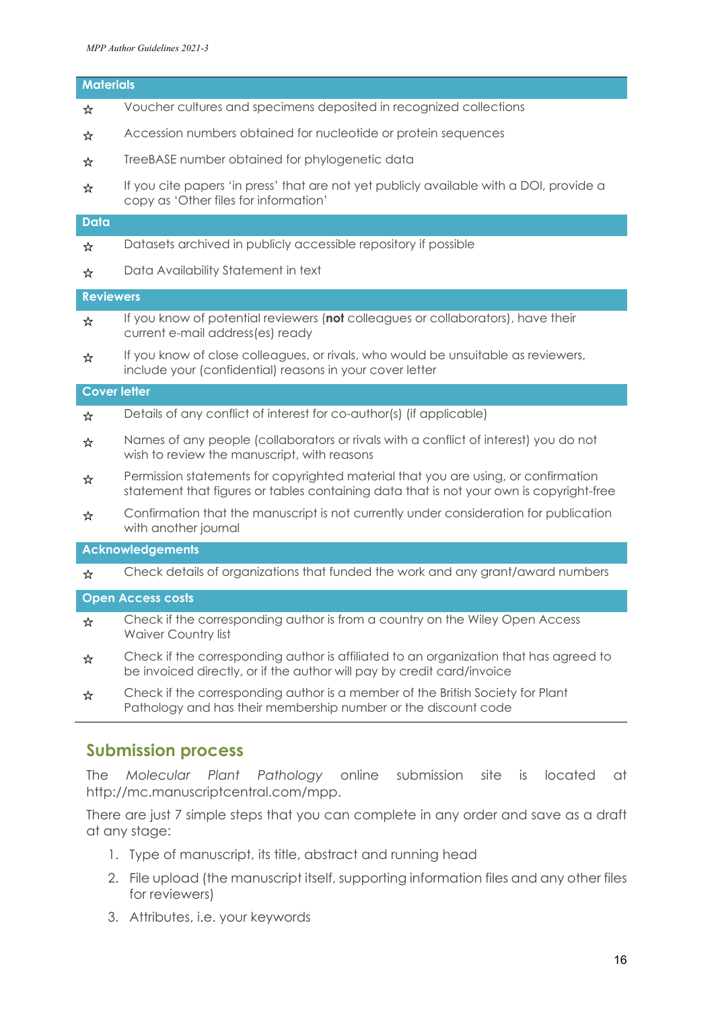## **Materials** ☆ Voucher cultures and specimens deposited in recognized collections ☆ Accession numbers obtained for nucleotide or protein sequences

- **\*** TreeBASE number obtained for phylogenetic data
- ☆ If you cite papers 'in press' that are not yet publicly available with a DOI, provide a copy as 'Other files for information'

#### **Data**

- ☆ Datasets archived in publicly accessible repository if possible
- ☆ Data Availability Statement in text

#### **Reviewers**

- ☆ If you know of potential reviewers (**not** colleagues or collaborators), have their current e-mail address(es) ready
- $\frac{1}{\alpha}$  If you know of close colleagues, or rivals, who would be unsuitable as reviewers, include your (confidential) reasons in your cover letter

#### **Cover letter**

- ☆ Details of any conflict of interest for co-author(s) (if applicable)
- ☆ Names of any people (collaborators or rivals with a conflict of interest) you do not wish to review the manuscript, with reasons
- $\frac{1}{\alpha}$  Permission statements for copyrighted material that you are using, or confirmation statement that figures or tables containing data that is not your own is copyright-free
- $\frac{1}{x}$  Confirmation that the manuscript is not currently under consideration for publication with another journal

#### **Acknowledgements**

☆ Check details of organizations that funded the work and any grant/award numbers

#### **Open Access costs**

- $\frac{1}{\alpha}$  Check if the corresponding author is from a country on the Wiley Open Access Waiver Country list
- ☆ Check if the corresponding author is affiliated to an organization that has agreed to be invoiced directly, or if the author will pay by credit card/invoice
- $\frac{1}{\alpha}$  Check if the corresponding author is a member of the British Society for Plant Pathology and has their membership number or the discount code

#### **Submission process**

The *Molecular Plant Pathology* online submission site is located at [http://mc.manuscriptcentral.com/mpp.](http://mc.manuscriptcentral.com/mpp)

There are just 7 simple steps that you can complete in any order and save as a draft at any stage:

- 1. Type of manuscript, its title, abstract and running head
- 2. File upload (the manuscript itself, supporting information files and any other files for reviewers)
- 3. Attributes, i.e. your keywords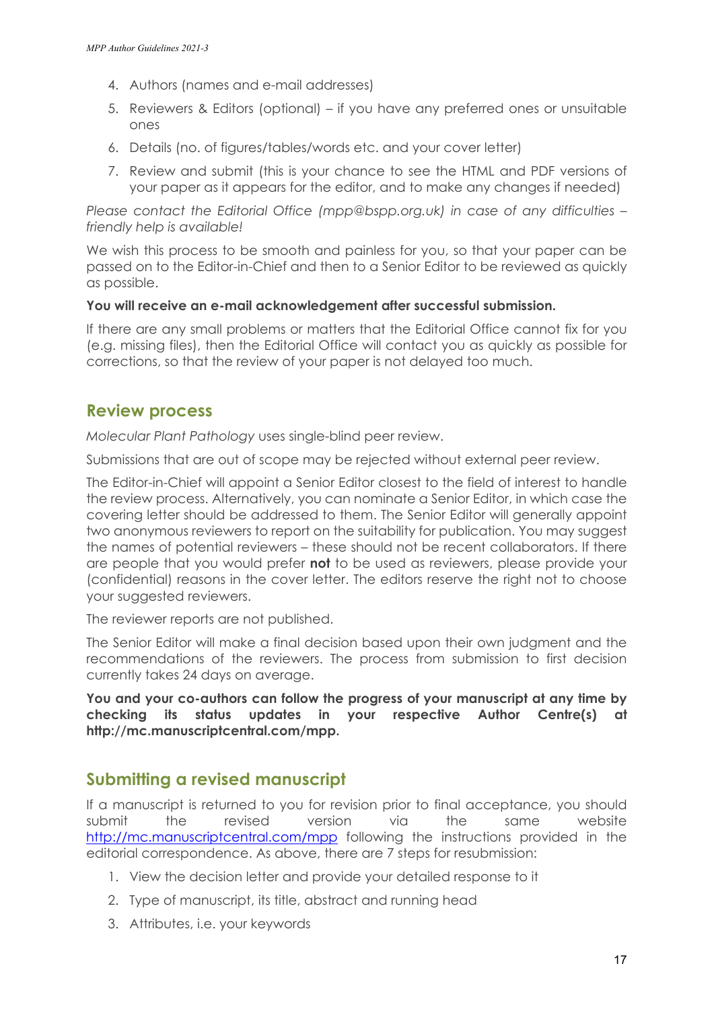- 4. Authors (names and e-mail addresses)
- 5. Reviewers & Editors (optional) if you have any preferred ones or unsuitable ones
- 6. Details (no. of figures/tables/words etc. and your cover letter)
- 7. Review and submit (this is your chance to see the HTML and PDF versions of your paper as it appears for the editor, and to make any changes if needed)

*Please contact the Editorial Office [\(mpp@bspp.org.uk\)](mailto:mpp@bspp.org.uk) in case of any difficulties – friendly help is available!*

We wish this process to be smooth and painless for you, so that your paper can be passed on to the Editor-in-Chief and then to a Senior Editor to be reviewed as quickly as possible.

#### **You will receive an e-mail acknowledgement after successful submission.**

If there are any small problems or matters that the Editorial Office cannot fix for you (e.g. missing files), then the Editorial Office will contact you as quickly as possible for corrections, so that the review of your paper is not delayed too much.

## **Review process**

*Molecular Plant Pathology* uses single-blind peer review.

Submissions that are out of scope may be rejected without external peer review.

The Editor-in-Chief will appoint a Senior Editor closest to the field of interest to handle the review process. Alternatively, you can nominate a Senior Editor, in which case the covering letter should be addressed to them. The Senior Editor will generally appoint two anonymous reviewers to report on the suitability for publication. You may suggest the names of potential reviewers – these should not be recent collaborators. If there are people that you would prefer **not** to be used as reviewers, please provide your (confidential) reasons in the cover letter. The editors reserve the right not to choose your suggested reviewers.

The reviewer reports are not published.

The Senior Editor will make a final decision based upon their own judgment and the recommendations of the reviewers. The process from submission to first decision currently takes 24 days on average.

**You and your co-authors can follow the progress of your manuscript at any time by checking its status updates in your respective Author Centre(s) at [http://mc.manuscriptcentral.com/mpp.](http://mc.manuscriptcentral.com/mpp)**

## **Submitting a revised manuscript**

If a manuscript is returned to you for revision prior to final acceptance, you should submit the revised version via the same website <http://mc.manuscriptcentral.com/mpp> following the instructions provided in the editorial correspondence. As above, there are 7 steps for resubmission:

- 1. View the decision letter and provide your detailed response to it
- 2. Type of manuscript, its title, abstract and running head
- 3. Attributes, i.e. your keywords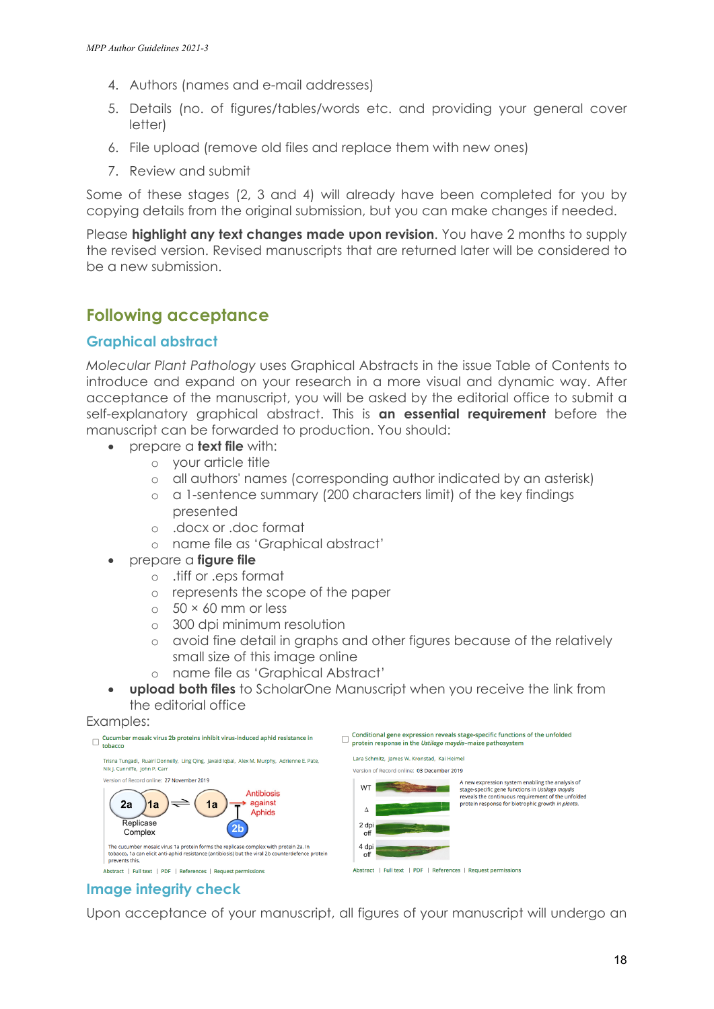- 4. Authors (names and e-mail addresses)
- 5. Details (no. of figures/tables/words etc. and providing your general cover letter)
- 6. File upload (remove old files and replace them with new ones)
- 7. Review and submit

Some of these stages (2, 3 and 4) will already have been completed for you by copying details from the original submission, but you can make changes if needed.

Please **highlight any text changes made upon revision**. You have 2 months to supply the revised version. Revised manuscripts that are returned later will be considered to be a new submission.

## **Following acceptance**

#### **Graphical abstract**

*Molecular Plant Pathology* uses Graphical Abstracts in the issue Table of Contents to introduce and expand on your research in a more visual and dynamic way. After acceptance of the manuscript, you will be asked by the editorial office to submit a self-explanatory graphical abstract. This is **an essential requirement** before the manuscript can be forwarded to production. You should:

- prepare a **text file** with:
	- o your article title
	- o all authors' names (corresponding author indicated by an asterisk)
	- o a 1-sentence summary (200 characters limit) of the key findings presented
	- o .docx or .doc format
	- o name file as 'Graphical abstract'
- prepare a **figure file**
	- o .tiff or .eps format
	- o represents the scope of the paper
	- $\circ$  50  $\times$  60 mm or less
	- o 300 dpi minimum resolution
	- o avoid fine detail in graphs and other figures because of the relatively small size of this image online
	- o name file as 'Graphical Abstract'
- **upload both files** to ScholarOne Manuscript when you receive the link from the editorial office

#### Examples:



### **Image integrity check**

Upon acceptance of your manuscript, all figures of your manuscript will undergo an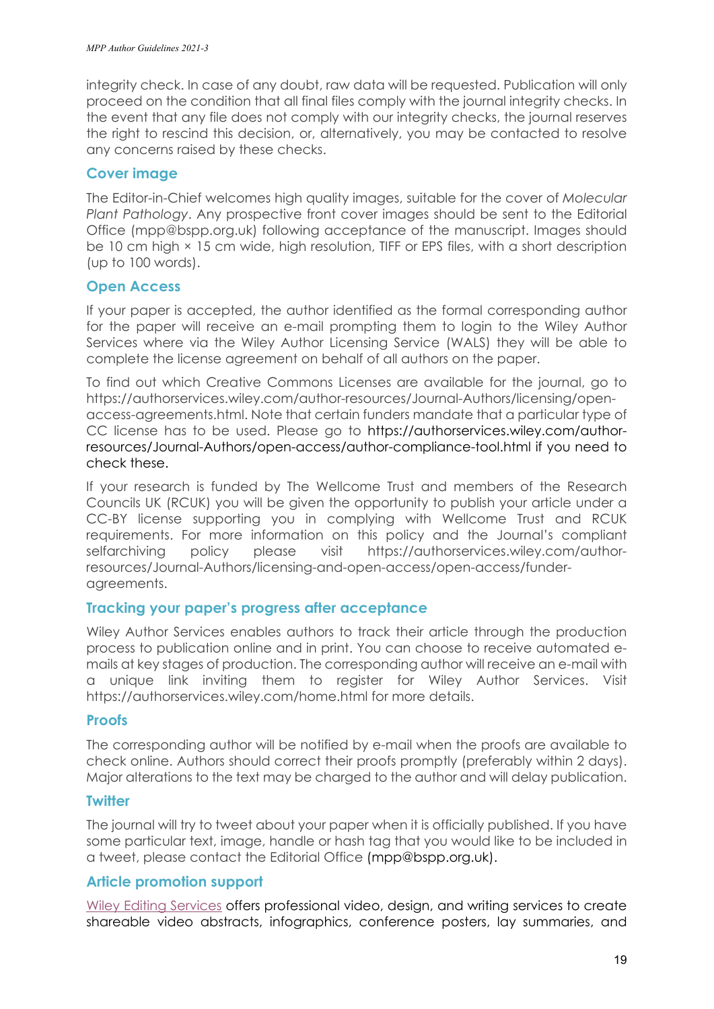integrity check. In case of any doubt, raw data will be requested. Publication will only proceed on the condition that all final files comply with the journal integrity checks. In the event that any file does not comply with our integrity checks, the journal reserves the right to rescind this decision, or, alternatively, you may be contacted to resolve any concerns raised by these checks.

#### **Cover image**

The Editor-in-Chief welcomes high quality images, suitable for the cover of *Molecular Plant Pathology*. Any prospective front cover images should be sent to the Editorial Office [\(mpp@bspp.org.uk\)](mailto:mpp@bspp.org.uk) following acceptance of the manuscript. Images should be 10 cm high  $\times$  15 cm wide, high resolution, TIFF or EPS files, with a short description (up to 100 words).

#### **Open Access**

If your paper is accepted, the author identified as the formal corresponding author for the paper will receive an e-mail prompting them to login to the Wiley Author Services where via the Wiley Author Licensing Service (WALS) they will be able to complete the license agreement on behalf of all authors on the paper.

To find out which Creative Commons Licenses are available for the journal, go to [https://authorservices.wiley.com/author-resources/Journal-Authors/licensing/open](https://authorservices.wiley.com/author-resources/Journal-Authors/licensing/open-access-agreements.html)[access-agreements.html.](https://authorservices.wiley.com/author-resources/Journal-Authors/licensing/open-access-agreements.html) Note that certain funders mandate that a particular type of CC license has to be used. Please go to [https://authorservices.wiley.com/author](https://authorservices.wiley.com/author-resources/Journal-Authors/open-access/author-compliance-tool.html)[resources/Journal-Authors/open-access/author-compliance-tool.html](https://authorservices.wiley.com/author-resources/Journal-Authors/open-access/author-compliance-tool.html) if you need to check these.

If your research is funded by The Wellcome Trust and members of the Research Councils UK (RCUK) you will be given the opportunity to publish your article under a CC-BY license supporting you in complying with Wellcome Trust and RCUK requirements. For more information on this policy and the Journal's compliant selfarchiving policy please visit [https://authorservices.wiley.com/author](https://authorservices.wiley.com/author-resources/Journal-Authors/licensing-and-open-access/open-access/funder-agreements)[resources/Journal-Authors/licensing-and-open-access/open-access/funder](https://authorservices.wiley.com/author-resources/Journal-Authors/licensing-and-open-access/open-access/funder-agreements)[agreements.](https://authorservices.wiley.com/author-resources/Journal-Authors/licensing-and-open-access/open-access/funder-agreements)

#### **Tracking your paper's progress after acceptance**

Wiley Author Services enables authors to track their article through the production process to publication online and in print. You can choose to receive automated emails at key stages of production. The corresponding author will receive an e-mail with a unique link inviting them to register for Wiley Author Services. Visit https://authorservices.wiley.com/home.html for more details.

#### **Proofs**

The corresponding author will be notified by e-mail when the proofs are available to check online. Authors should correct their proofs promptly (preferably within 2 days). Major alterations to the text may be charged to the author and will delay publication.

#### **Twitter**

The journal will try to tweet about your paper when it is officially published. If you have some particular text, image, handle or hash tag that you would like to be included in a tweet, please contact the Editorial Office [\(mpp@bspp.org.uk\)](mailto:mpp@bspp.org.uk).

#### **Article promotion support**

[Wiley Editing Services](https://wileyeditingservices.com/en/article-promotion/?utm_source=wol&utm_medium=backlink&utm_term=ag&utm_content=promo&utm_campaign=prodops) offers professional video, design, and writing services to create shareable video abstracts, infographics, conference posters, lay summaries, and